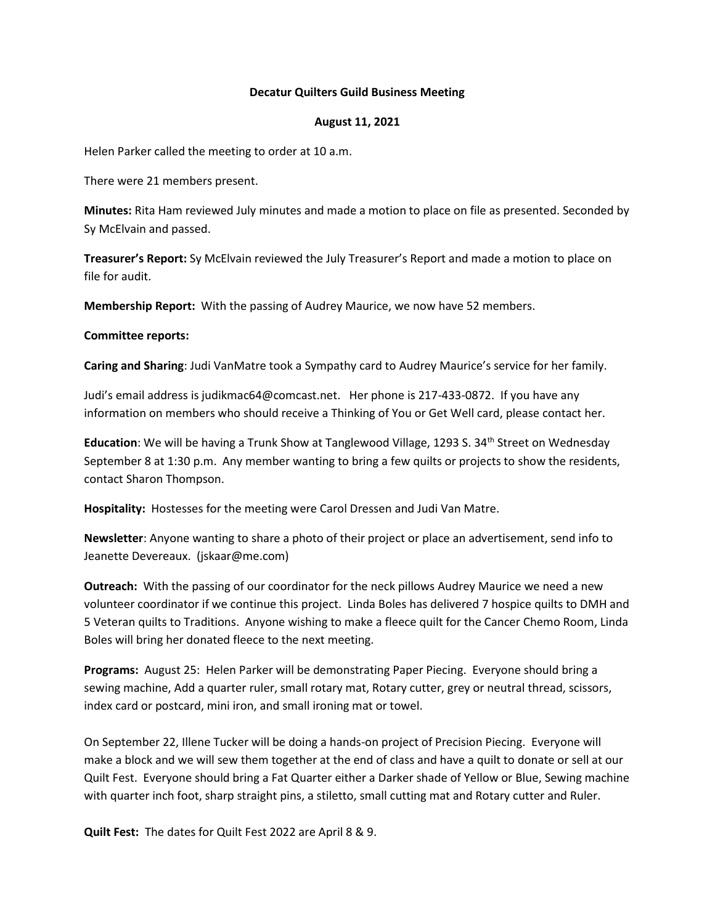### **Decatur Quilters Guild Business Meeting**

### **August 11, 2021**

Helen Parker called the meeting to order at 10 a.m.

There were 21 members present.

**Minutes:** Rita Ham reviewed July minutes and made a motion to place on file as presented. Seconded by Sy McElvain and passed.

**Treasurer's Report:** Sy McElvain reviewed the July Treasurer's Report and made a motion to place on file for audit.

**Membership Report:** With the passing of Audrey Maurice, we now have 52 members.

# **Committee reports:**

**Caring and Sharing**: Judi VanMatre took a Sympathy card to Audrey Maurice's service for her family.

Judi's email address is judikmac64@comcast.net. Her phone is 217-433-0872. If you have any information on members who should receive a Thinking of You or Get Well card, please contact her.

**Education**: We will be having a Trunk Show at Tanglewood Village, 1293 S. 34<sup>th</sup> Street on Wednesday September 8 at 1:30 p.m. Any member wanting to bring a few quilts or projects to show the residents, contact Sharon Thompson.

**Hospitality:** Hostesses for the meeting were Carol Dressen and Judi Van Matre.

**Newsletter**: Anyone wanting to share a photo of their project or place an advertisement, send info to Jeanette Devereaux. (jskaar@me.com)

**Outreach:** With the passing of our coordinator for the neck pillows Audrey Maurice we need a new volunteer coordinator if we continue this project. Linda Boles has delivered 7 hospice quilts to DMH and 5 Veteran quilts to Traditions. Anyone wishing to make a fleece quilt for the Cancer Chemo Room, Linda Boles will bring her donated fleece to the next meeting.

**Programs:** August 25: Helen Parker will be demonstrating Paper Piecing. Everyone should bring a sewing machine, Add a quarter ruler, small rotary mat, Rotary cutter, grey or neutral thread, scissors, index card or postcard, mini iron, and small ironing mat or towel.

On September 22, Illene Tucker will be doing a hands-on project of Precision Piecing. Everyone will make a block and we will sew them together at the end of class and have a quilt to donate or sell at our Quilt Fest. Everyone should bring a Fat Quarter either a Darker shade of Yellow or Blue, Sewing machine with quarter inch foot, sharp straight pins, a stiletto, small cutting mat and Rotary cutter and Ruler.

**Quilt Fest:** The dates for Quilt Fest 2022 are April 8 & 9.